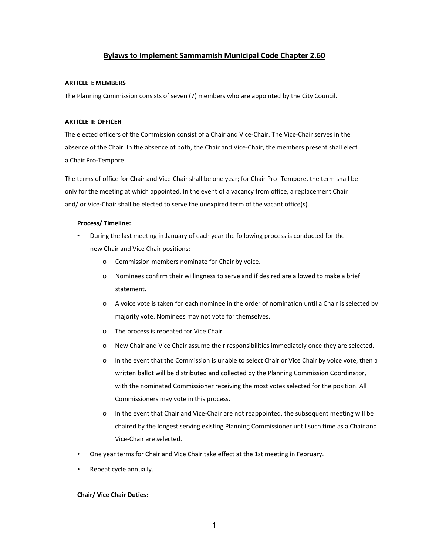# **Bylaws to Implement Sammamish Municipal Code Chapter 2.60**

#### **ARTICLE I: MEMBERS**

The Planning Commission consists of seven (7) members who are appointed by the City Council.

# **ARTICLE II: OFFICER**

The elected officers of the Commission consist of a Chair and Vice-Chair. The Vice-Chair serves in the absence of the Chair. In the absence of both, the Chair and Vice-Chair, the members present shall elect a Chair Pro-Tempore.

The terms of office for Chair and Vice-Chair shall be one year; for Chair Pro- Tempore, the term shall be only for the meeting at which appointed. In the event of a vacancy from office, a replacement Chair and/ or Vice-Chair shall be elected to serve the unexpired term of the vacant office(s).

# **Process/ Timeline:**

- During the last meeting in January of each year the following process is conducted for the new Chair and Vice Chair positions:
	- o Commission members nominate for Chair by voice.
	- o Nominees confirm their willingness to serve and if desired are allowed to make a brief statement.
	- o A voice vote is taken for each nominee in the order of nomination until a Chair is selected by majority vote. Nominees may not vote for themselves.
	- o The process is repeated for Vice Chair
	- o New Chair and Vice Chair assume their responsibilities immediately once they are selected.
	- o In the event that the Commission is unable to select Chair or Vice Chair by voice vote, then a written ballot will be distributed and collected by the Planning Commission Coordinator, with the nominated Commissioner receiving the most votes selected for the position. All Commissioners may vote in this process.
	- o In the event that Chair and Vice-Chair are not reappointed, the subsequent meeting will be chaired by the longest serving existing Planning Commissioner until such time as a Chair and Vice-Chair are selected.
- One year terms for Chair and Vice Chair take effect at the 1st meeting in February.
- Repeat cycle annually.

#### **Chair/ Vice Chair Duties:**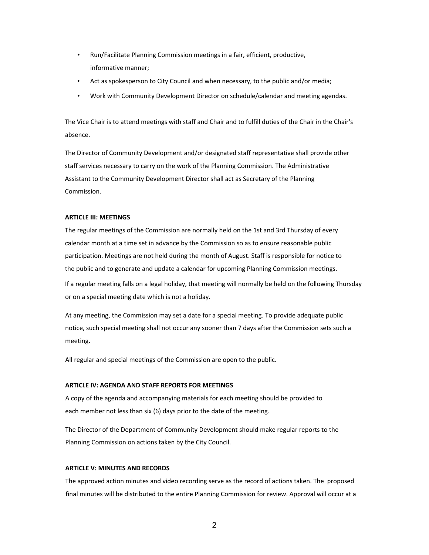- Run/Facilitate Planning Commission meetings in a fair, efficient, productive, informative manner;
- Act as spokesperson to City Council and when necessary, to the public and/or media;
- Work with Community Development Director on schedule/calendar and meeting agendas.

The Vice Chair is to attend meetings with staff and Chair and to fulfill duties of the Chair in the Chair's absence.

The Director of Community Development and/or designated staff representative shall provide other staff services necessary to carry on the work of the Planning Commission. The Administrative Assistant to the Community Development Director shall act as Secretary of the Planning Commission.

#### **ARTICLE III: MEETINGS**

The regular meetings of the Commission are normally held on the 1st and 3rd Thursday of every calendar month at a time set in advance by the Commission so as to ensure reasonable public participation. Meetings are not held during the month of August. Staff is responsible for notice to the public and to generate and update a calendar for upcoming Planning Commission meetings. If a regular meeting falls on a legal holiday, that meeting will normally be held on the following Thursday or on a special meeting date which is not a holiday.

At any meeting, the Commission may set a date for a special meeting. To provide adequate public notice, such special meeting shall not occur any sooner than 7 days after the Commission sets such a meeting.

All regular and special meetings of the Commission are open to the public.

# **ARTICLE IV: AGENDA AND STAFF REPORTS FOR MEETINGS**

A copy of the agenda and accompanying materials for each meeting should be provided to each member not less than six (6) days prior to the date of the meeting.

The Director of the Department of Community Development should make regular reports to the Planning Commission on actions taken by the City Council.

#### **ARTICLE V: MINUTES AND RECORDS**

The approved action minutes and video recording serve as the record of actions taken. The proposed final minutes will be distributed to the entire Planning Commission for review. Approval will occur at a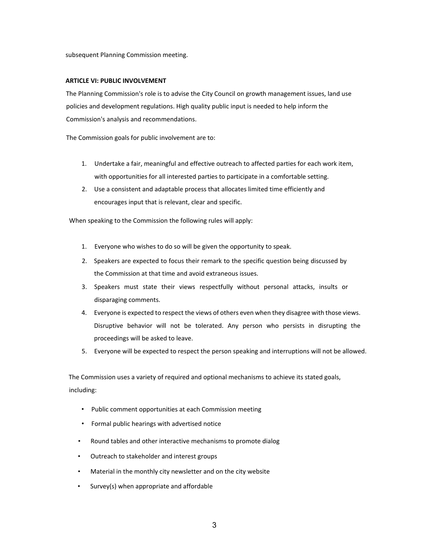subsequent Planning Commission meeting.

# **ARTICLE VI: PUBLIC INVOLVEMENT**

The Planning Commission's role is to advise the City Council on growth management issues, land use policies and development regulations. High quality public input is needed to help inform the Commission's analysis and recommendations.

The Commission goals for public involvement are to:

- 1. Undertake a fair, meaningful and effective outreach to affected parties for each work item, with opportunities for all interested parties to participate in a comfortable setting.
- 2. Use a consistent and adaptable process that allocates limited time efficiently and encourages input that is relevant, clear and specific.

When speaking to the Commission the following rules will apply:

- 1. Everyone who wishes to do so will be given the opportunity to speak.
- 2. Speakers are expected to focus their remark to the specific question being discussed by the Commission at that time and avoid extraneous issues.
- 3. Speakers must state their views respectfully without personal attacks, insults or disparaging comments.
- 4. Everyone is expected to respect the views of others even when they disagree with those views. Disruptive behavior will not be tolerated. Any person who persists in disrupting the proceedings will be asked to leave.
- 5. Everyone will be expected to respect the person speaking and interruptions will not be allowed.

The Commission uses a variety of required and optional mechanisms to achieve its stated goals, including:

- Public comment opportunities at each Commission meeting
- Formal public hearings with advertised notice
- Round tables and other interactive mechanisms to promote dialog
- Outreach to stakeholder and interest groups
- Material in the monthly city newsletter and on the city website
- Survey(s) when appropriate and affordable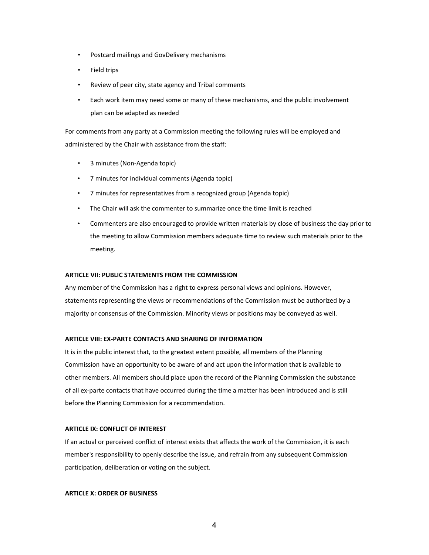- Postcard mailings and GovDelivery mechanisms
- Field trips
- Review of peer city, state agency and Tribal comments
- Each work item may need some or many of these mechanisms, and the public involvement plan can be adapted as needed

For comments from any party at a Commission meeting the following rules will be employed and administered by the Chair with assistance from the staff:

- 3 minutes (Non-Agenda topic)
- 7 minutes for individual comments (Agenda topic)
- 7 minutes for representatives from a recognized group (Agenda topic)
- The Chair will ask the commenter to summarize once the time limit is reached
- Commenters are also encouraged to provide written materials by close of business the day prior to the meeting to allow Commission members adequate time to review such materials prior to the meeting.

#### **ARTICLE VII: PUBLIC STATEMENTS FROM THE COMMISSION**

Any member of the Commission has a right to express personal views and opinions. However, statements representing the views or recommendations of the Commission must be authorized by a majority or consensus of the Commission. Minority views or positions may be conveyed as well.

#### **ARTICLE VIII: EX-PARTE CONTACTS AND SHARING OF INFORMATION**

It is in the public interest that, to the greatest extent possible, all members of the Planning Commission have an opportunity to be aware of and act upon the information that is available to other members. All members should place upon the record of the Planning Commission the substance of all ex-parte contacts that have occurred during the time a matter has been introduced and is still before the Planning Commission for a recommendation.

#### **ARTICLE IX: CONFLICT OF INTEREST**

If an actual or perceived conflict of interest exists that affects the work of the Commission, it is each member's responsibility to openly describe the issue, and refrain from any subsequent Commission participation, deliberation or voting on the subject.

# **ARTICLE X: ORDER OF BUSINESS**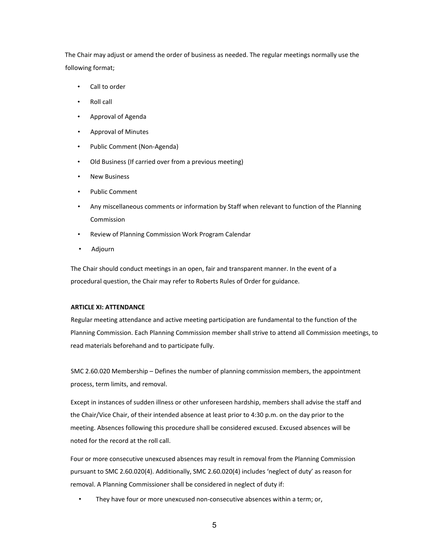The Chair may adjust or amend the order of business as needed. The regular meetings normally use the following format;

- Call to order
- Roll call
- Approval of Agenda
- Approval of Minutes
- Public Comment (Non-Agenda)
- Old Business (If carried over from a previous meeting)
- **New Business**
- Public Comment
- Any miscellaneous comments or information by Staff when relevant to function of the Planning Commission
- Review of Planning Commission Work Program Calendar
- Adjourn

The Chair should conduct meetings in an open, fair and transparent manner. In the event of a procedural question, the Chair may refer to Roberts Rules of Order for guidance.

# **ARTICLE XI: ATTENDANCE**

Regular meeting attendance and active meeting participation are fundamental to the function of the Planning Commission. Each Planning Commission member shall strive to attend all Commission meetings, to read materials beforehand and to participate fully.

SMC 2.60.020 Membership – Defines the number of planning commission members, the appointment process, term limits, and removal.

Except in instances of sudden illness or other unforeseen hardship, members shall advise the staff and the Chair/Vice Chair, of their intended absence at least prior to 4:30 p.m. on the day prior to the meeting. Absences following this procedure shall be considered excused. Excused absences will be noted for the record at the roll call.

Four or more consecutive unexcused absences may result in removal from the Planning Commission pursuant to SMC 2.60.020(4). Additionally, SMC 2.60.020(4) includes 'neglect of duty' as reason for removal. A Planning Commissioner shall be considered in neglect of duty if:

• They have four or more unexcused non-consecutive absences within a term; or,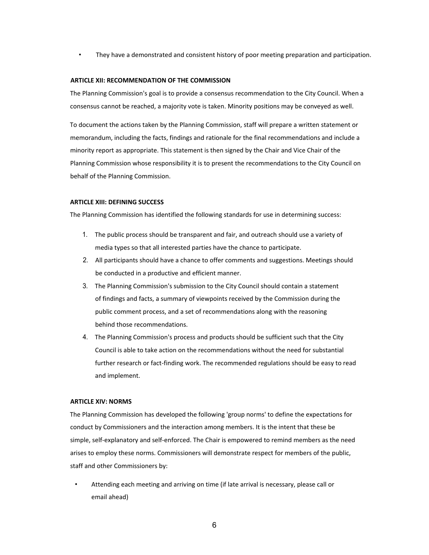• They have a demonstrated and consistent history of poor meeting preparation and participation.

# **ARTICLE XII: RECOMMENDATION OF THE COMMISSION**

The Planning Commission's goal is to provide a consensus recommendation to the City Council. When a consensus cannot be reached, a majority vote is taken. Minority positions may be conveyed as well.

To document the actions taken by the Planning Commission, staff will prepare a written statement or memorandum, including the facts, findings and rationale for the final recommendations and include a minority report as appropriate. This statement is then signed by the Chair and Vice Chair of the Planning Commission whose responsibility it is to present the recommendations to the City Council on behalf of the Planning Commission.

#### **ARTICLE XIII: DEFINING SUCCESS**

The Planning Commission has identified the following standards for use in determining success:

- 1. The public process should be transparent and fair, and outreach should use a variety of media types so that all interested parties have the chance to participate.
- 2. All participants should have a chance to offer comments and suggestions. Meetings should be conducted in a productive and efficient manner.
- 3. The Planning Commission's submission to the City Council should contain a statement of findings and facts, a summary of viewpoints received by the Commission during the public comment process, and a set of recommendations along with the reasoning behind those recommendations.
- 4. The Planning Commission's process and products should be sufficient such that the City Council is able to take action on the recommendations without the need for substantial further research or fact-finding work. The recommended regulations should be easy to read and implement.

#### **ARTICLE XIV: NORMS**

The Planning Commission has developed the following 'group norms' to define the expectations for conduct by Commissioners and the interaction among members. It is the intent that these be simple, self-explanatory and self-enforced. The Chair is empowered to remind members as the need arises to employ these norms. Commissioners will demonstrate respect for members of the public, staff and other Commissioners by:

• Attending each meeting and arriving on time (if late arrival is necessary, please call or email ahead)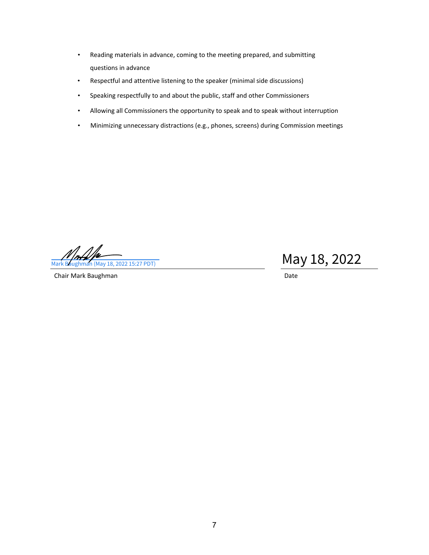- Reading materials in advance, coming to the meeting prepared, and submitting questions in advance
- Respectful and attentive listening to the speaker (minimal side discussions)
- Speaking respectfully to and about the public, staff and other Commissioners
- Allowing all Commissioners the opportunity to speak and to speak without interruption
- Minimizing unnecessary distractions (e.g., phones, screens) during Commission meetings

 $\frac{M}{\text{Mark Bayhman (May 18, 2022 15:27 PDT)}}$  May  $18, 2022$ 

Chair Mark Baughman Date Chair Mark Baughman Date